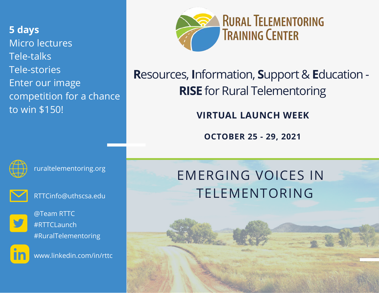**5 days** Micro lectures Tele-talks Tele-stories Enter our image [competition for a chance](https://redcap.link/RTTCimage) to win \$150!



## **R**esources, **I**nformation, **S**upport & **E**ducation - **RISE** for Rural Telementoring

**VIRTUAL LAUNCH WEEK**

**OCTOBER 25 - 29, 2021**

## EMERGING VOICES IN TELEMENTORING



ruraltelementoring.org



RTTCinfo@uthscsa.edu



@Team RTTC #RTTCLaunch #RuralTelementoring



www.linkedin.com/in/rttc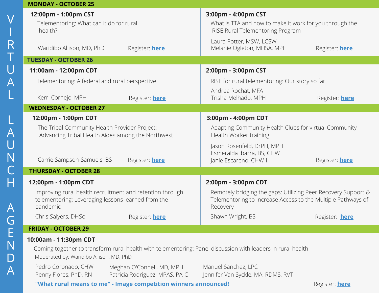| <b>MONDAY - OCTOBER 25</b>                                                                                                 |                                                             |                                                                                                                                           |                       |
|----------------------------------------------------------------------------------------------------------------------------|-------------------------------------------------------------|-------------------------------------------------------------------------------------------------------------------------------------------|-----------------------|
| 12:00pm - 1:00pm CST<br>Telementoring: What can it do for rural<br>health?                                                 |                                                             | 3:00pm - 4:00pm CST<br>What is TTA and how to make it work for you through the<br>RISE Rural Telementoring Program                        |                       |
| Waridibo Allison, MD, PhD                                                                                                  | Register: <b>here</b>                                       | Laura Potter, MSW, LCSW<br>Melanie Ogleton, MHSA, MPH                                                                                     | Register: <b>here</b> |
| <b>TUESDAY - OCTOBER 26</b>                                                                                                |                                                             |                                                                                                                                           |                       |
| 11:00am - 12:00pm CDT                                                                                                      |                                                             | 2:00pm - 3:00pm CST                                                                                                                       |                       |
| Telementoring: A federal and rural perspective                                                                             |                                                             | RISE for rural telementoring: Our story so far                                                                                            |                       |
| Kerri Cornejo, MPH                                                                                                         | Register: <b>here</b>                                       | Andrea Rochat, MFA<br>Trisha Melhado, MPH                                                                                                 | Register: <b>here</b> |
| <b>WEDNESDAY - OCTOBER 27</b>                                                                                              |                                                             |                                                                                                                                           |                       |
| 12:00pm - 1:00pm CDT                                                                                                       |                                                             | 3:00pm - 4:00pm CDT                                                                                                                       |                       |
| The Tribal Community Health Provider Project:<br>Advancing Tribal Health Aides among the Northwest                         |                                                             | Adapting Community Health Clubs for virtual Community<br>Health Worker training                                                           |                       |
| Carrie Sampson-Samuels, BS                                                                                                 | Register: <b>here</b>                                       | Jason Rosenfeld, DrPH, MPH<br>Esmeralda Ibarra, BS, CHW<br>Janie Escareno, CHW-I                                                          | Register: <b>here</b> |
| <b>THURSDAY - OCTOBER 28</b>                                                                                               |                                                             |                                                                                                                                           |                       |
| 12:00pm - 1:00pm CDT                                                                                                       |                                                             | 2:00pm - 3:00pm CDT                                                                                                                       |                       |
| Improving rural health recruitment and retention through<br>telementoring: Leveraging lessons learned from the<br>pandemic |                                                             | Remotely bridging the gaps: Utilizing Peer Recovery Support &<br>Telementoring to Increase Access to the Multiple Pathways of<br>Recovery |                       |
| Chris Salyers, DHSc                                                                                                        | Register: <b>here</b>                                       | Shawn Wright, BS                                                                                                                          | Register: <b>here</b> |
| <b>FRIDAY - OCTOBER 29</b>                                                                                                 |                                                             |                                                                                                                                           |                       |
| 10:00am - 11:30pm CDT<br>Moderated by: Waridibo Allison, MD, PhD                                                           |                                                             | Coming together to transform rural health with telementoring: Panel discussion with leaders in rural health                               |                       |
| Pedro Coronado, CHW<br>Penny Flores, PhD, RN                                                                               | Meghan O'Connell, MD, MPH<br>Patricia Rodriguez, MPAS, PA-C | Manuel Sanchez, LPC<br>Jennifer Van Syckle, MA, RDMS, RVT                                                                                 |                       |
| "What rural means to me" - Image competition winners announced!                                                            |                                                             |                                                                                                                                           | Register: <b>here</b> |
|                                                                                                                            |                                                             |                                                                                                                                           |                       |

A

 $\overline{\mathsf{A}}$ 

 $\overline{L}$ 

N

H

N

D

A